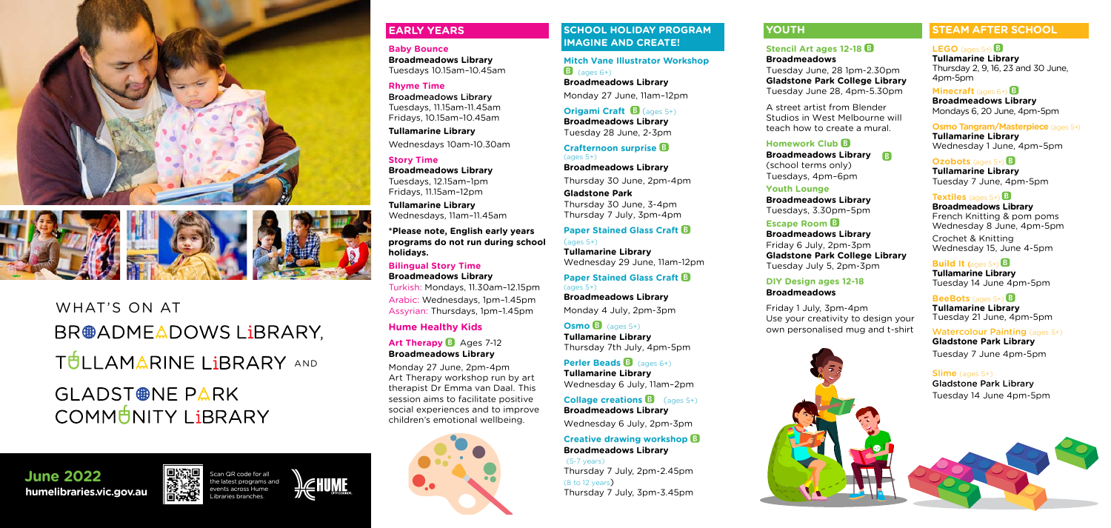Scan QR code for all the latest programs and





**June 2022**<br> **humelibraries.vic.gov.au** Libraries branches. **June 2022**



WHAT'S ON AT BR@ADMEADOWS LiBRARY, TULLAMARINE LIBRARY AND GLADST<sup>®</sup>NE PARK

COMMUNITY LIBRARY

### **EARLY YEARS**

**Baby Bounce Broadmeadows Library** Tuesdays 10.15am–10.45am

#### **Rhyme Time**

Broadmeadows Library Tuesdays, 11.15am-11.45am Fridays, 10.15am–10.45am

**Tullamarine Library** Wednesdays 10am-10.30am

#### **Story Time**

#### **Art Therapy <b>B** Ages 7-12 **Broadmeadows Library**

**Broadmeadows Library** Tuesdays, 12.15am–1pm Fridays, 11.15am–12pm

**Tullamarine Library** Wednesdays, 11am–11.45am **Mitch Vane Illustrator Workshop**   $\overline{B}$  (ages 6+)

**\*Please note, English early years programs do not run during school holidays.**

#### **Bilingual Story Time Broadmeadows Library**

**Origami Craft B** (ages 5+) **Broadmeadows Library** Tuesday 28 June, 2-3pm

Turkish: Mondays, 11.30am–12.15pm Arabic: Wednesdays, 1pm–1.45pm Assyrian: Thursdays, 1pm–1.45pm

 $\text{(ages } 5+)$ **Tullamarine Library** Wednesday 29 June, 11am-12pm

#### **Hume Healthy Kids**

 $Osmo$   $B$   $(aose, 5+)$ **Tullamarine Library** Thursday 7th July, 4pm-5pm

**Perler Beads B** (ages 6+) **Tullamarine Library** Wednesday 6 July, 11am–2pm

**Collage creations B** (ages 5+) **Broadmeadows Library**

Monday 27 June, 2pm-4pm Art Therapy workshop run by art therapist Dr Emma van Daal. This session aims to facilitate positive social experiences and to improve children's emotional wellbeing.



#### **SCHOOL HOLIDAY PROGRAM IMAGINE AND CREATE!**

**Broadmeadows Library** Monday 27 June, 11am–12pm

**Crafternoon surprise**  (ages 5+)

**Broadmeadows Library** Thursday 30 June, 2pm-4pm

**Gladstone Park** Thursday 30 June, 3-4pm Thursday 7 July, 3pm-4pm

## **Paper Stained Glass Craft <b>B**

**Paper Stained Glass Craft**  (ages 5+)

**Broadmeadows Library** Monday 4 July, 2pm-3pm

> Slime (ages 5+) Gladstone Park Library Tuesday 14 June 4pm-5pm

# Wednesday 6 July, 2pm-3pm

#### **Creative drawing workshop Broadmeadows Library**

(5-7 years) Thursday 7 July, 2pm-2.45pm (8 to 12 years) Thursday 7 July, 3pm-3.45pm

## **YOUTH**

#### **Stencil Art ages 12-18**

#### **Broadmeadows**

Tuesday June, 28 1pm-2.30pm **Gladstone Park College Library** Tuesday June 28, 4pm-5.30pm

A street artist from Blender Studios in West Melbourne will teach how to create a mural.

#### **Homework Club**

**Broadmeadows Library** (school terms only)

Tuesdays, 4pm–6pm

**Youth Lounge**

**Broadmeadows Library** Tuesdays, 3.30pm–5pm

**Escape Room Broadmeadows Library** Friday 6 July, 2pm-3pm **Gladstone Park College Library** Tuesday July 5, 2pm-3pm



#### **DIY Design ages 12-18 Broadmeadows**

Friday 1 July, 3pm-4pm Use your creativity to design your own personalised mug and t-shirt

## **STEAM AFTER SCHOOL**

#### $LEGO$  (ages 5+)  $B$

**Tullamarine Library** Thursday 2, 9, 16, 23 and 30 June, 4pm-5pm

#### **Minecraft** (ages 6+) **B**

**Broadmeadows Library** Mondays 6, 20 June, 4pm-5pm

#### **Osmo Tangram/Masterpiece** (ages 5+)

**Tullamarine Library** Wednesday 1 June, 4pm–5pm

#### **Ozobots** (ages 5+) **B**

**Tullamarine Library** Tuesday 7 June, 4pm-5pm

#### **Textiles** (ages 5+) **B**

**Broadmeadows Library** French Knitting & pom poms Wednesday 8 June, 4pm-5pm Crochet & Knitting Wednesday 15, June 4-5pm

#### **Build It (ages**  $5+$ **)**

**Tullamarine Library** Tuesday 14 June 4pm-5pm

#### **BeeBots** (ages 5+) **B**

**Tullamarine Library** Tuesday 21 June, 4pm-5pm

#### Watercolour Painting (ages 5+)

**Gladstone Park Library** Tuesday 7 June 4pm-5pm